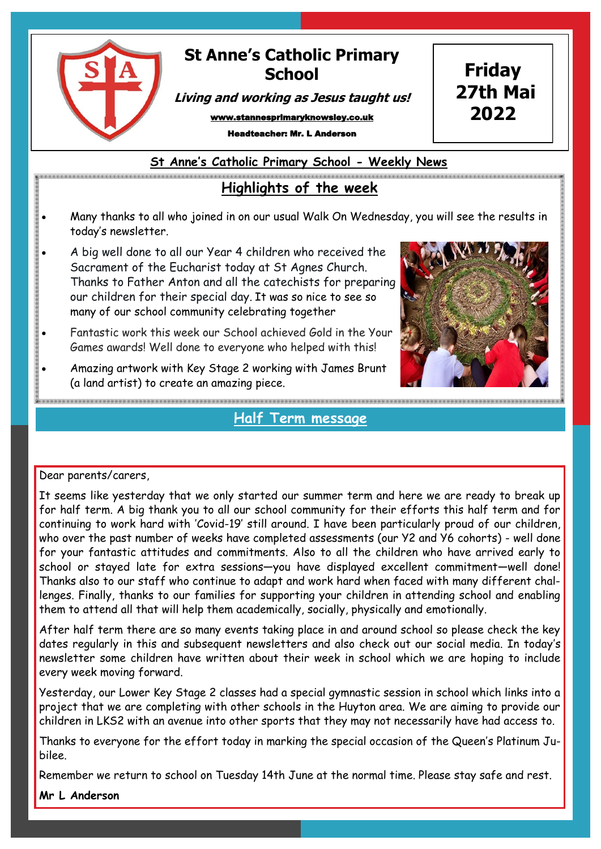

## **St Anne's Catholic Primary School**

**Living and working as Jesus taught us!**

www.stannesprimaryknowsley.co.uk

adteacher: Mr. L Anderson

**St Anne's Catholic Primary School - Weekly News**

## **Highlights of the week**

- Many thanks to all who joined in on our usual Walk On Wednesday, you will see the results in today's newsletter.
- A big well done to all our Year 4 children who received the Sacrament of the Eucharist today at St Agnes Church. Thanks to Father Anton and all the catechists for preparing our children for their special day. It was so nice to see so many of our school community celebrating together
- Fantastic work this week our School achieved Gold in the Your Games awards! Well done to everyone who helped with this!
- Amazing artwork with Key Stage 2 working with James Brunt (a land artist) to create an amazing piece.

**Half Term message** 

### Dear parents/carers,

It seems like yesterday that we only started our summer term and here we are ready to break up for half term. A big thank you to all our school community for their efforts this half term and for continuing to work hard with 'Covid-19' still around. I have been particularly proud of our children, who over the past number of weeks have completed assessments (our Y2 and Y6 cohorts) - well done for your fantastic attitudes and commitments. Also to all the children who have arrived early to school or stayed late for extra sessions—you have displayed excellent commitment—well done! Thanks also to our staff who continue to adapt and work hard when faced with many different challenges. Finally, thanks to our families for supporting your children in attending school and enabling them to attend all that will help them academically, socially, physically and emotionally.

After half term there are so many events taking place in and around school so please check the key dates regularly in this and subsequent newsletters and also check out our social media. In today's newsletter some children have written about their week in school which we are hoping to include every week moving forward.

Yesterday, our Lower Key Stage 2 classes had a special gymnastic session in school which links into a project that we are completing with other schools in the Huyton area. We are aiming to provide our children in LKS2 with an avenue into other sports that they may not necessarily have had access to.

Thanks to everyone for the effort today in marking the special occasion of the Queen's Platinum Jubilee.

Remember we return to school on Tuesday 14th June at the normal time. Please stay safe and rest.

#### **Mr L Anderson**

**Friday 27th Mai**

**2022**

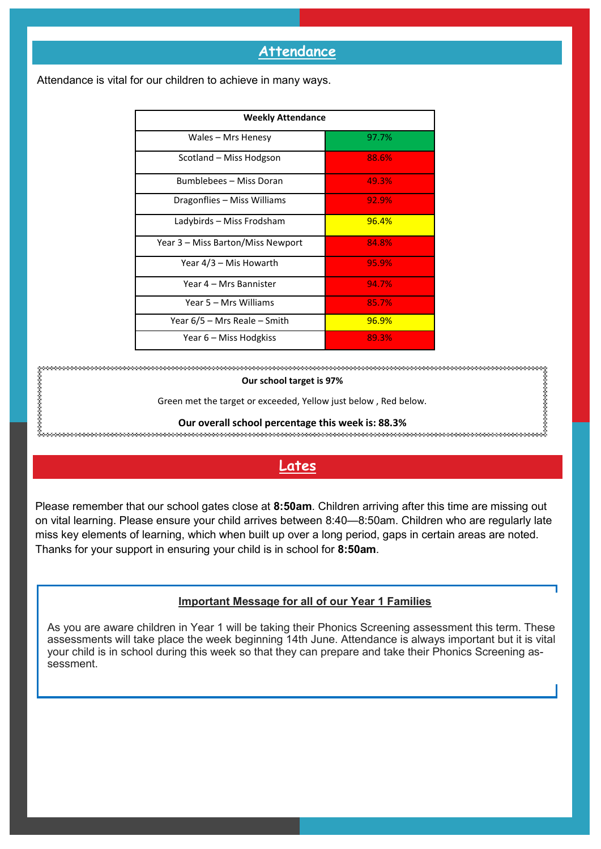### **Attendance**

| <b>Weekly Attendance</b>          |       |
|-----------------------------------|-------|
| Wales - Mrs Henesy                | 97.7% |
| Scotland – Miss Hodgson           | 88.6% |
| Bumblebees - Miss Doran           | 49.3% |
| Dragonflies – Miss Williams       | 92.9% |
| Ladybirds - Miss Frodsham         | 96.4% |
| Year 3 – Miss Barton/Miss Newport | 84.8% |
| Year 4/3 – Mis Howarth            | 95.9% |
| Year 4 – Mrs Bannister            | 94.7% |
| Year 5 – Mrs Williams             | 85.7% |
| Year 6/5 – Mrs Reale – Smith      | 96.9% |
| Year 6 – Miss Hodgkiss            | 89.3% |

Attendance is vital for our children to achieve in many ways.

**Our school target is 97%** Green met the target or exceeded, Yellow just below , Red below. **Our overall school percentage this week is: 88.3%** 

**Lates**

Please remember that our school gates close at **8:50am**. Children arriving after this time are missing out on vital learning. Please ensure your child arrives between 8:40—8:50am. Children who are regularly late miss key elements of learning, which when built up over a long period, gaps in certain areas are noted. Thanks for your support in ensuring your child is in school for **8:50am**.

#### **Important Message for all of our Year 1 Families**

As you are aware children in Year 1 will be taking their Phonics Screening assessment this term. These assessments will take place the week beginning 14th June. Attendance is always important but it is vital your child is in school during this week so that they can prepare and take their Phonics Screening assessment.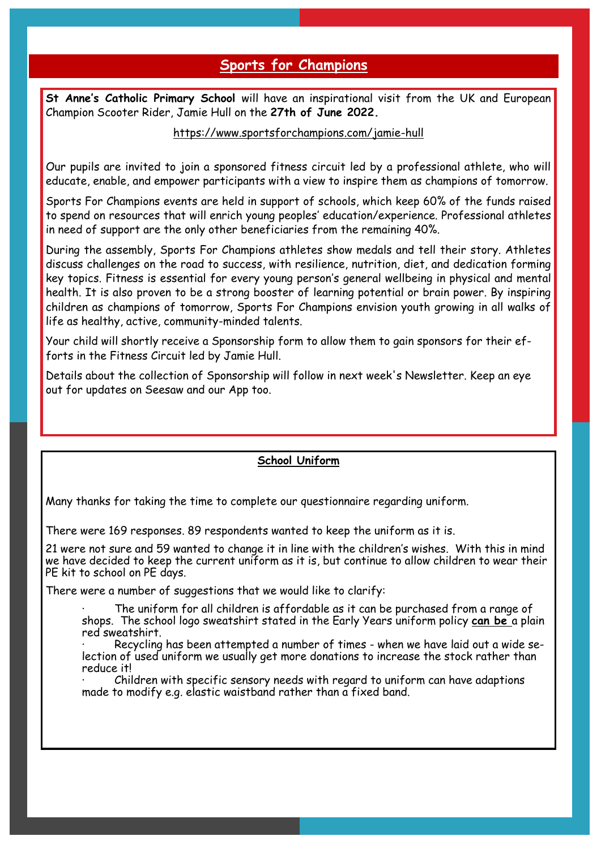### **Sports for Champions**

**St Anne's Catholic Primary School** will have an inspirational visit from the UK and European Champion Scooter Rider, Jamie Hull on the **27th of June 2022.**

#### https://www.sportsforchampions.com/jamie-hull

Our pupils are invited to join a sponsored fitness circuit led by a professional athlete, who will educate, enable, and empower participants with a view to inspire them as champions of tomorrow.

Sports For Champions events are held in support of schools, which keep 60% of the funds raised to spend on resources that will enrich young peoples' education/experience. Professional athletes in need of support are the only other beneficiaries from the remaining 40%.

During the assembly, Sports For Champions athletes show medals and tell their story. Athletes discuss challenges on the road to success, with resilience, nutrition, diet, and dedication forming key topics. Fitness is essential for every young person's general wellbeing in physical and mental health. It is also proven to be a strong booster of learning potential or brain power. By inspiring children as champions of tomorrow, Sports For Champions envision youth growing in all walks of life as healthy, active, community-minded talents.

Your child will shortly receive a Sponsorship form to allow them to gain sponsors for their efforts in the Fitness Circuit led by Jamie Hull.

Details about the collection of Sponsorship will follow in next week's Newsletter. Keep an eye out for updates on Seesaw and our App too.

### **School Uniform**

Many thanks for taking the time to complete our questionnaire regarding uniform.

There were 169 responses. 89 respondents wanted to keep the uniform as it is.

21 were not sure and 59 wanted to change it in line with the children's wishes. With this in mind we have decided to keep the current uniform as it is, but continue to allow children to wear their PE kit to school on PE days.

There were a number of suggestions that we would like to clarify:

· The uniform for all children is affordable as it can be purchased from a range of shops. The school logo sweatshirt stated in the Early Years uniform policy **can be** a plain red sweatshirt.

Recycling has been attempted a number of times - when we have laid out a wide selection of used uniform we usually get more donations to increase the stock rather than reduce it!

· Children with specific sensory needs with regard to uniform can have adaptions made to modify e.g. elastic waistband rather than a fixed band.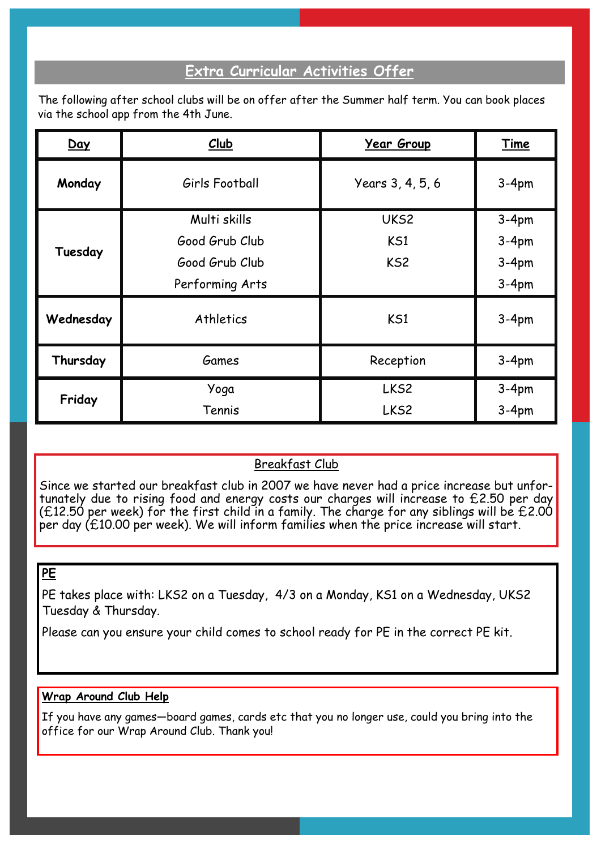### **Extra Curricular Activities Offer**

The following after school clubs will be on offer after the Summer half term. You can book places via the school app from the 4th June.

| Day       | Club            | <b>Year Group</b> | Time    |
|-----------|-----------------|-------------------|---------|
| Monday    | Girls Football  | Years 3, 4, 5, 6  | $3-4pm$ |
| Tuesday   | Multi skills    | UKS2              | $3-4pm$ |
|           | Good Grub Club  | KS1               | $3-4pm$ |
|           | Good Grub Club  | KS <sub>2</sub>   | $3-4pm$ |
|           | Performing Arts |                   | $3-4pm$ |
| Wednesday | Athletics       | KS1               | $3-4pm$ |
| Thursday  | Games           | Reception         | $3-4pm$ |
| Friday    | Yoga            | LKS <sub>2</sub>  | $3-4pm$ |
|           | Tennis          | LKS <sub>2</sub>  | $3-4pm$ |

### Breakfast Club

Since we started our breakfast club in 2007 we have never had a price increase but unfortunately due to rising food and energy costs our charges will increase to £2.50 per day ( $£12.50$  per week) for the first child in a family. The charge for any siblings will be  $£2.00$ per day (£10.00 per week). We will inform families when the price increase will start.

### **PE**

PE takes place with: LKS2 on a Tuesday, 4/3 on a Monday, KS1 on a Wednesday, UKS2 Tuesday & Thursday.

Please can you ensure your child comes to school ready for PE in the correct PE kit.

### **Wrap Around Club Help**

If you have any games—board games, cards etc that you no longer use, could you bring into the office for our Wrap Around Club. Thank you!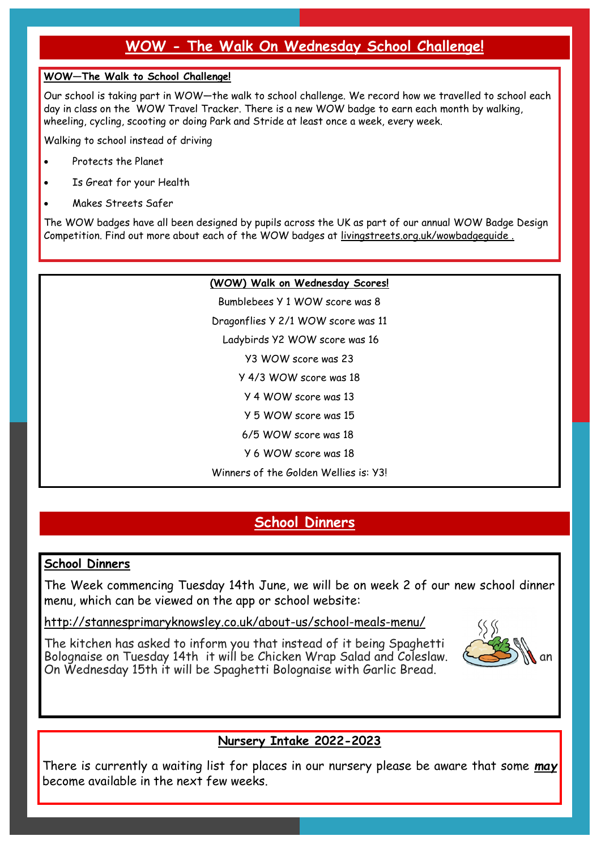## **WOW - The Walk On Wednesday School Challenge!**

#### **WOW—The Walk to School Challenge!**

Our school is taking part in WOW—the walk to school challenge. We record how we travelled to school each day in class on the WOW Travel Tracker. There is a new WOW badge to earn each month by walking, wheeling, cycling, scooting or doing Park and Stride at least once a week, every week.

Walking to school instead of driving

- Protects the Planet
- Is Great for your Health
- Makes Streets Safer

The WOW badges have all been designed by pupils across the UK as part of our annual WOW Badge Design Competition. Find out more about each of the WOW badges at livingstreets.org.uk/wowbadgeguide .

#### **(WOW) Walk on Wednesday Scores!**

Bumblebees Y 1 WOW score was 8 Dragonflies Y 2/1 WOW score was 11 Ladybirds Y2 WOW score was 16 Y3 WOW score was 23 Y 4/3 WOW score was 18 Y 4 WOW score was 13 Y 5 WOW score was 15 6/5 WOW score was 18 Y 6 WOW score was 18 Winners of the Golden Wellies is: Y3!

## **School Dinners**

### **School Dinners**

The Week commencing Tuesday 14th June, we will be on week 2 of our new school dinner menu, which can be viewed on the app or school website:

http://stannesprimaryknowsley.co.uk/about-us/school-meals-menu/

The kitchen has asked to inform you that instead of it being Spaghetti Bolognaise on Tuesday 14th it will be Chicken Wrap Salad and Coleslaw. On Wednesday 15th it will be Spaghetti Bolognaise with Garlic Bread.



### **Nursery Intake 2022-2023**

There is currently a waiting list for places in our nursery please be aware that some *may* become available in the next few weeks.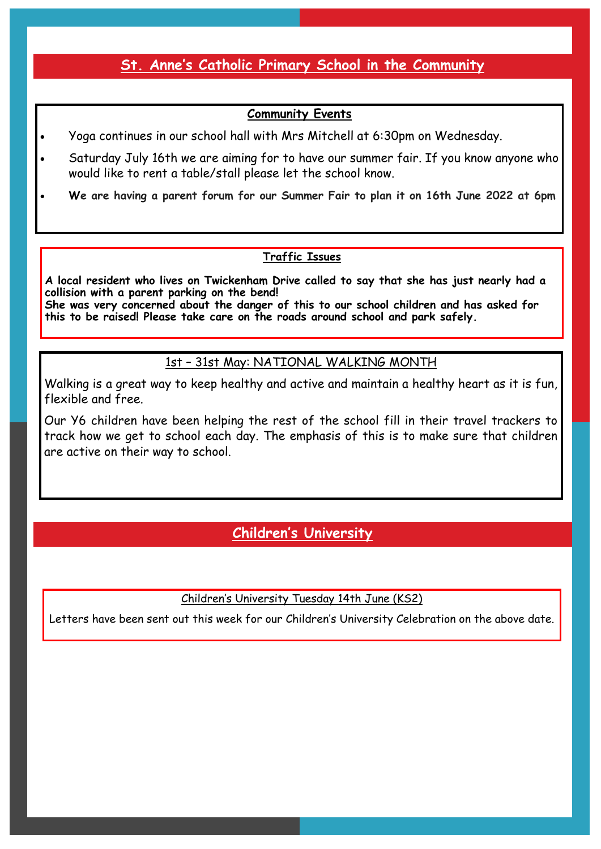### **St. Anne's Catholic Primary School in the Community**

### **Community Events**

- Yoga continues in our school hall with Mrs Mitchell at 6:30pm on Wednesday.
- Saturday July 16th we are aiming for to have our summer fair. If you know anyone who would like to rent a table/stall please let the school know.
- **We are having a parent forum for our Summer Fair to plan it on 16th June 2022 at 6pm**

### **Traffic Issues**

**A local resident who lives on Twickenham Drive called to say that she has just nearly had a collision with a parent parking on the bend! She was very concerned about the danger of this to our school children and has asked for this to be raised! Please take care on the roads around school and park safely.**

### 1st – 31st May: NATIONAL WALKING MONTH

Walking is a great way to keep healthy and active and maintain a healthy heart as it is fun, flexible and free.

Our Y6 children have been helping the rest of the school fill in their travel trackers to track how we get to school each day. The emphasis of this is to make sure that children are active on their way to school.

## **Children's University**

Children's University Tuesday 14th June (KS2)

Letters have been sent out this week for our Children's University Celebration on the above date.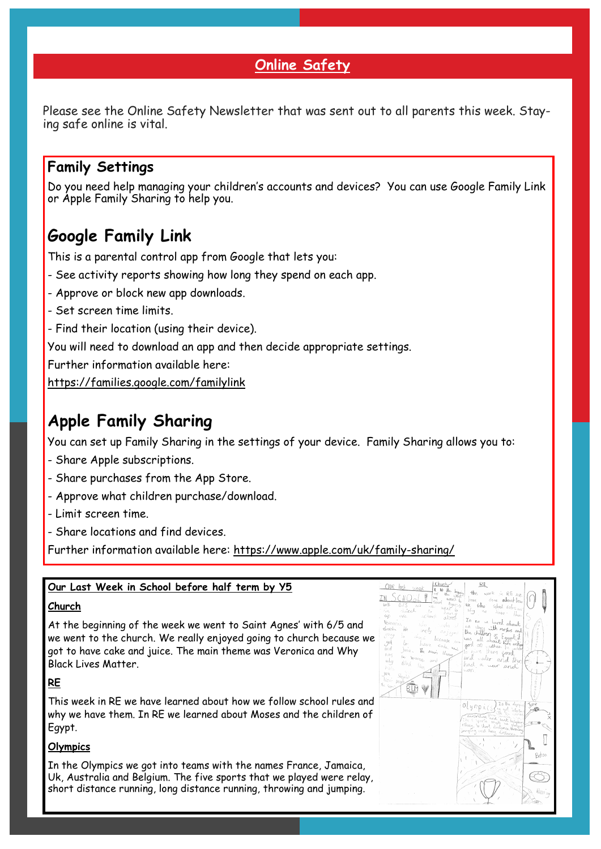### **Online Safety**

Please see the Online Safety Newsletter that was sent out to all parents this week. Staying safe online is vital.

### **Family Settings**

Do you need help managing your children's accounts and devices? You can use Google Family Link or Apple Family Sharing to help you.

## **Google Family Link**

This is a parental control app from Google that lets you:

- See activity reports showing how long they spend on each app.
- Approve or block new app downloads.
- Set screen time limits.
- Find their location (using their device).

You will need to download an app and then decide appropriate settings.

Further information available here:

<https://families.google.com/familylink>

## **Apple Family Sharing**

You can set up Family Sharing in the settings of your device. Family Sharing allows you to:

- Share Apple subscriptions.
- Share purchases from the App Store.
- Approve what children purchase/download.
- Limit screen time.
- Share locations and find devices.

Further information available here: [https://www.apple.com/uk/family](https://www.apple.com/uk/family-sharing/)-sharing/

### **Our Last Week in School before half term by Y5**

#### **Church**

At the beginning of the week we went to Saint Agnes' with 6/5 and we went to the church. We really enjoyed going to church because we got to have cake and juice. The main theme was Veronica and Why Black Lives Matter.

#### **RE**

This week in RE we have learned about how we follow school rules and why we have them. In RE we learned about Moses and the children of Egypt.

#### **Olympics**

In the Olympics we got into teams with the names France, Jamaica, Uk, Australia and Belgium. The five sports that we played were relay, short distance running, long distance running, throwing and jumping.

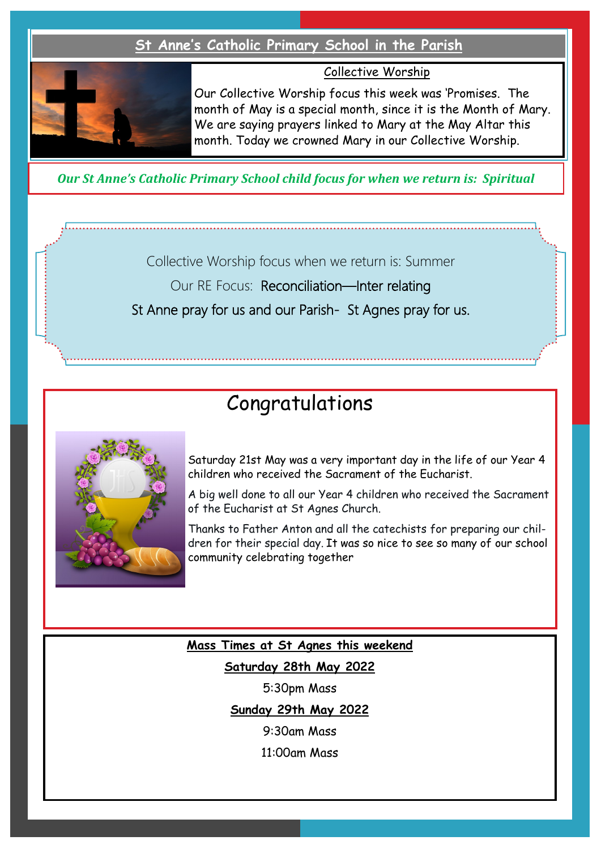### **St Anne's Catholic Primary School in the Parish**



Collective Worship

Our Collective Worship focus this week was 'Promises. The month of May is a special month, since it is the Month of Mary. We are saying prayers linked to Mary at the May Altar this month. Today we crowned Mary in our Collective Worship.

*Our St Anne's Catholic Primary School child focus for when we return is: Spiritual* 

Collective Worship focus when we return is: Summer

Our RE Focus: Reconciliation—Inter relating

St Anne pray for us and our Parish- St Agnes pray for us.

# Congratulations



Saturday 21st May was a very important day in the life of our Year 4 children who received the Sacrament of the Eucharist.

A big well done to all our Year 4 children who received the Sacrament of the Eucharist at St Agnes Church.

Thanks to Father Anton and all the catechists for preparing our children for their special day. It was so nice to see so many of our school community celebrating together

### **Mass Times at St Agnes this weekend**

**Saturday 28th May 2022**

5:30pm Mass

**Sunday 29th May 2022**

9:30am Mass

11:00am Mass